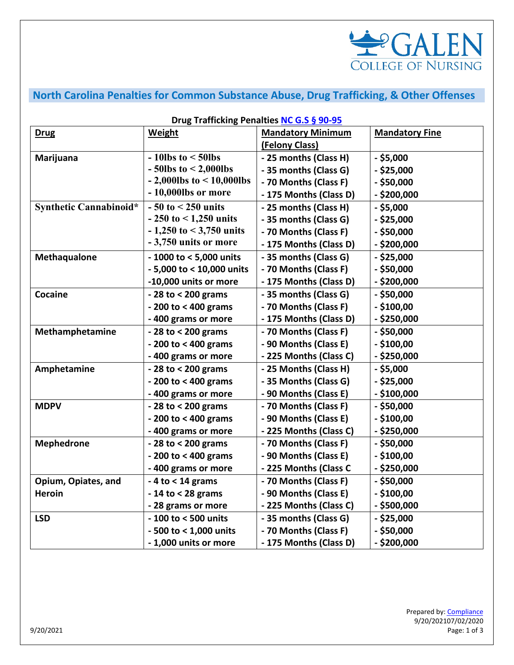

## **North Carolina Penalties for Common Substance Abuse, Drug Trafficking, & Other Offenses**

| Drug Trafficking Penalties NC G.S § 90-95 |                                   |                          |                       |  |
|-------------------------------------------|-----------------------------------|--------------------------|-----------------------|--|
| <b>Drug</b>                               | <b>Weight</b>                     | <b>Mandatory Minimum</b> | <b>Mandatory Fine</b> |  |
|                                           |                                   | (Felony Class)           |                       |  |
| Marijuana                                 | $-10$ lbs to $\leq 50$ lbs        | - 25 months (Class H)    | $-$ \$5,000           |  |
|                                           | $-50$ lbs to $< 2,000$ lbs        | - 35 months (Class G)    | $-$ \$25,000          |  |
|                                           | $-2,000$ lbs to $\leq 10,000$ lbs | - 70 Months (Class F)    | $-$ \$50,000          |  |
|                                           | $-10,000$ lbs or more             | - 175 Months (Class D)   | $-$ \$200,000         |  |
| Synthetic Cannabinoid*                    | $-50$ to $< 250$ units            | - 25 months (Class H)    | $-$ \$5,000           |  |
|                                           | $-250$ to $\leq 1,250$ units      | - 35 months (Class G)    | $-$ \$25,000          |  |
|                                           | $-1,250$ to $< 3,750$ units       | - 70 Months (Class F)    | $-$ \$50,000          |  |
|                                           | -3,750 units or more              | - 175 Months (Class D)   | $-$ \$200,000         |  |
| Methaqualone                              | - 1000 to < 5,000 units           | - 35 months (Class G)    | $-$ \$25,000          |  |
|                                           | - 5,000 to < 10,000 units         | - 70 Months (Class F)    | $-$ \$50,000          |  |
|                                           | -10,000 units or more             | - 175 Months (Class D)   | $-$ \$200,000         |  |
| Cocaine                                   | $-28$ to $< 200$ grams            | - 35 months (Class G)    | $-$ \$50,000          |  |
|                                           | $-200$ to $<$ 400 grams           | - 70 Months (Class F)    | $-$ \$100,00          |  |
|                                           | - 400 grams or more               | - 175 Months (Class D)   | $-$ \$250,000         |  |
| Methamphetamine                           | $-28$ to $< 200$ grams            | - 70 Months (Class F)    | $-$ \$50,000          |  |
|                                           | $-200$ to < 400 grams             | - 90 Months (Class E)    | $-$ \$100,00          |  |
|                                           | -400 grams or more                | - 225 Months (Class C)   | $-$ \$250,000         |  |
| Amphetamine                               | $-28$ to $< 200$ grams            | - 25 Months (Class H)    | $-$ \$5,000           |  |
|                                           | $-200$ to $< 400$ grams           | - 35 Months (Class G)    | $-$ \$25,000          |  |
|                                           | - 400 grams or more               | - 90 Months (Class E)    | $-$ \$100,000         |  |
| <b>MDPV</b>                               | $-28$ to $< 200$ grams            | - 70 Months (Class F)    | $-$ \$50,000          |  |
|                                           | $-200$ to < 400 grams             | - 90 Months (Class E)    | $-$ \$100,00          |  |
|                                           | - 400 grams or more               | - 225 Months (Class C)   | $-$ \$250,000         |  |
| <b>Mephedrone</b>                         | $-28$ to $< 200$ grams            | - 70 Months (Class F)    | $-$ \$50,000          |  |
|                                           | $-200$ to < 400 grams             | - 90 Months (Class E)    | $-$ \$100,00          |  |
|                                           | - 400 grams or more               | - 225 Months (Class C    | $-$ \$250,000         |  |
| Opium, Opiates, and                       | $-4$ to $<$ 14 grams              | - 70 Months (Class F)    | $-$ \$50,000          |  |
| <b>Heroin</b>                             | $-14$ to < 28 grams               | - 90 Months (Class E)    | $-$ \$100,00          |  |
|                                           | - 28 grams or more                | - 225 Months (Class C)   | - \$500,000           |  |
| <b>LSD</b>                                | - 100 to < 500 units              | - 35 months (Class G)    | $-$ \$25,000          |  |
|                                           | - 500 to < 1,000 units            | - 70 Months (Class F)    | $-$ \$50,000          |  |
|                                           | - 1,000 units or more             | - 175 Months (Class D)   | $-$ \$200,000         |  |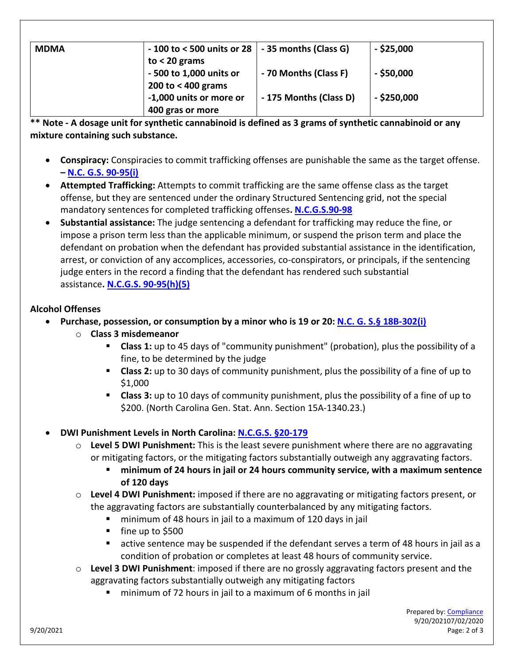| <b>MDMA</b> | $-100$ to < 500 units or 28 $\vert$ - 35 months (Class G) |                        | $-$ \$25,000  |
|-------------|-----------------------------------------------------------|------------------------|---------------|
|             | to $<$ 20 grams                                           |                        |               |
|             | - 500 to 1,000 units or                                   | - 70 Months (Class F)  | $-$ \$50,000  |
|             | 200 to $<$ 400 grams                                      |                        |               |
|             | -1,000 units or more or                                   | - 175 Months (Class D) | $-$ \$250,000 |
|             | 400 gras or more                                          |                        |               |

**\*\* Note - A dosage unit for synthetic cannabinoid is defined as 3 grams of synthetic cannabinoid or any mixture containing such substance.**

- **Conspiracy:** Conspiracies to commit trafficking offenses are punishable the same as the target offense. **– [N.C. G.S. 90-95\(i\)](https://www.ncleg.gov/enactedlegislation/statutes/pdf/bysection/chapter_90/gs_90-95.pdf)**
- **Attempted Trafficking:** Attempts to commit trafficking are the same offense class as the target offense, but they are sentenced under the ordinary Structured Sentencing grid, not the special mandatory sentences for completed trafficking offenses**. [N.C.G.S.90-98](https://www.ncleg.net/enactedlegislation/statutes/html/bysection/chapter_90/gs_90-98.html)**
- **Substantial assistance:** The judge sentencing a defendant for trafficking may reduce the fine, or impose a prison term less than the applicable minimum, or suspend the prison term and place the defendant on probation when the defendant has provided substantial assistance in the identification, arrest, or conviction of any accomplices, accessories, co-conspirators, or principals, if the sentencing judge enters in the record a finding that the defendant has rendered such substantial assistance**[. N.C.G.S. 90-95\(h\)\(5\)](https://www.ncleg.net/enactedlegislation/statutes/html/bysection/chapter_90/gs_90-95.html)**

## **Alcohol Offenses**

- **Purchase, possession, or consumption by a minor who is 19 or 20: [N.C. G. S.§](https://www.ncleg.net/EnactedLegislation/Statutes/PDF/ByArticle/Chapter_18B/Article_3.pdf) 18B[-302\(i\)](https://www.ncleg.net/EnactedLegislation/Statutes/PDF/ByArticle/Chapter_18B/Article_3.pdf)**
	- o **Class 3 misdemeanor**
		- **Class 1:** up to 45 days of "community punishment" (probation), plus the possibility of a fine, to be determined by the judge
		- **Class 2:** up to 30 days of community punishment, plus the possibility of a fine of up to \$1,000
		- **Class 3:** up to 10 days of community punishment, plus the possibility of a fine of up to \$200. (North Carolina Gen. Stat. Ann. Section 15A-1340.23.)
- **DWI Punishment Levels in North Carolina: [N.C.G.S. §20-179](https://www.ncleg.net/EnactedLegislation/Statutes/HTML/BySection/Chapter_20/GS_20-179.html)**
	- o **Level 5 DWI Punishment:** This is the least severe punishment where there are no aggravating or mitigating factors, or the mitigating factors substantially outweigh any aggravating factors.
		- **minimum of 24 hours in jail or 24 hours community service, with a maximum sentence of 120 days**
	- o **Level 4 DWI Punishment:** imposed if there are no aggravating or mitigating factors present, or the aggravating factors are substantially counterbalanced by any mitigating factors.
		- minimum of 48 hours in jail to a maximum of 120 days in jail
		- $\blacksquare$  fine up to \$500
		- active sentence may be suspended if the defendant serves a term of 48 hours in jail as a condition of probation or completes at least 48 hours of community service.
	- o **Level 3 DWI Punishment**: imposed if there are no grossly aggravating factors present and the aggravating factors substantially outweigh any mitigating factors
		- minimum of 72 hours in jail to a maximum of 6 months in jail